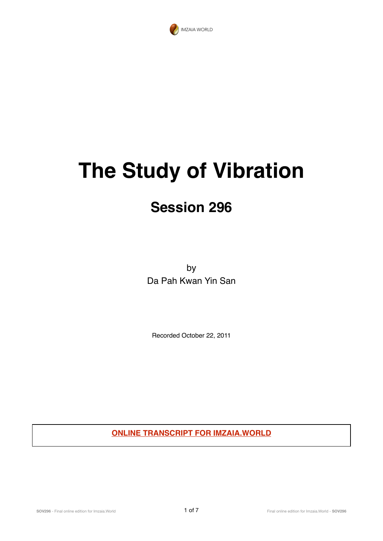

## **The Study of Vibration**

## **Session 296**

by Da Pah Kwan Yin San

Recorded October 22, 2011

**ONLINE TRANSCRIPT FOR IMZAIA.WORLD**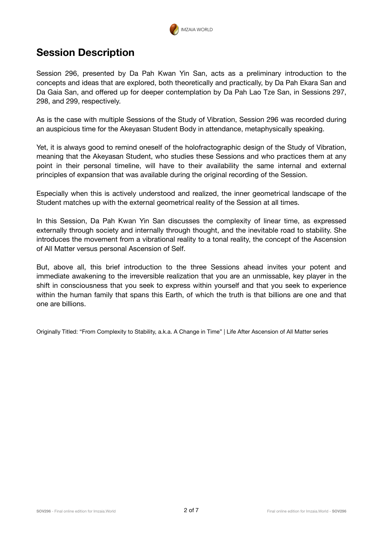

## **Session Description**

Session 296, presented by Da Pah Kwan Yin San, acts as a preliminary introduction to the concepts and ideas that are explored, both theoretically and practically, by Da Pah Ekara San and Da Gaia San, and offered up for deeper contemplation by Da Pah Lao Tze San, in Sessions 297, 298, and 299, respectively.

As is the case with multiple Sessions of the Study of Vibration, Session 296 was recorded during an auspicious time for the Akeyasan Student Body in attendance, metaphysically speaking.

Yet, it is always good to remind oneself of the holofractographic design of the Study of Vibration, meaning that the Akeyasan Student, who studies these Sessions and who practices them at any point in their personal timeline, will have to their availability the same internal and external principles of expansion that was available during the original recording of the Session.

Especially when this is actively understood and realized, the inner geometrical landscape of the Student matches up with the external geometrical reality of the Session at all times.

In this Session, Da Pah Kwan Yin San discusses the complexity of linear time, as expressed externally through society and internally through thought, and the inevitable road to stability. She introduces the movement from a vibrational reality to a tonal reality, the concept of the Ascension of All Matter versus personal Ascension of Self.

But, above all, this brief introduction to the three Sessions ahead invites your potent and immediate awakening to the irreversible realization that you are an unmissable, key player in the shift in consciousness that you seek to express within yourself and that you seek to experience within the human family that spans this Earth, of which the truth is that billions are one and that one are billions.

Originally Titled: "From Complexity to Stability, a.k.a. A Change in Time" | Life After Ascension of All Matter series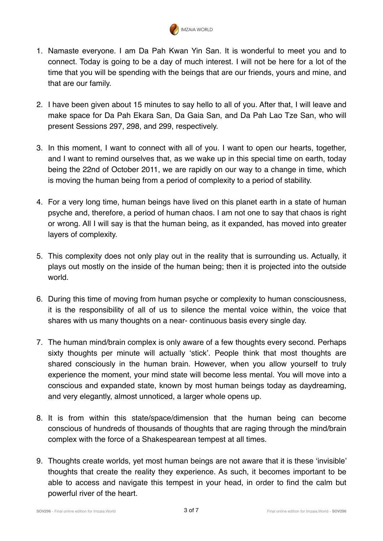

- 1. Namaste everyone. I am Da Pah Kwan Yin San. It is wonderful to meet you and to connect. Today is going to be a day of much interest. I will not be here for a lot of the time that you will be spending with the beings that are our friends, yours and mine, and that are our family.
- 2. I have been given about 15 minutes to say hello to all of you. After that, I will leave and make space for Da Pah Ekara San, Da Gaia San, and Da Pah Lao Tze San, who will present Sessions 297, 298, and 299, respectively.
- 3. In this moment, I want to connect with all of you. I want to open our hearts, together, and I want to remind ourselves that, as we wake up in this special time on earth, today being the 22nd of October 2011, we are rapidly on our way to a change in time, which is moving the human being from a period of complexity to a period of stability.
- 4. For a very long time, human beings have lived on this planet earth in a state of human psyche and, therefore, a period of human chaos. I am not one to say that chaos is right or wrong. All I will say is that the human being, as it expanded, has moved into greater layers of complexity.
- 5. This complexity does not only play out in the reality that is surrounding us. Actually, it plays out mostly on the inside of the human being; then it is projected into the outside world.
- 6. During this time of moving from human psyche or complexity to human consciousness, it is the responsibility of all of us to silence the mental voice within, the voice that shares with us many thoughts on a near- continuous basis every single day.
- 7. The human mind/brain complex is only aware of a few thoughts every second. Perhaps sixty thoughts per minute will actually 'stick'. People think that most thoughts are shared consciously in the human brain. However, when you allow yourself to truly experience the moment, your mind state will become less mental. You will move into a conscious and expanded state, known by most human beings today as daydreaming, and very elegantly, almost unnoticed, a larger whole opens up.
- 8. It is from within this state/space/dimension that the human being can become conscious of hundreds of thousands of thoughts that are raging through the mind/brain complex with the force of a Shakespearean tempest at all times.
- 9. Thoughts create worlds, yet most human beings are not aware that it is these 'invisible' thoughts that create the reality they experience. As such, it becomes important to be able to access and navigate this tempest in your head, in order to find the calm but powerful river of the heart.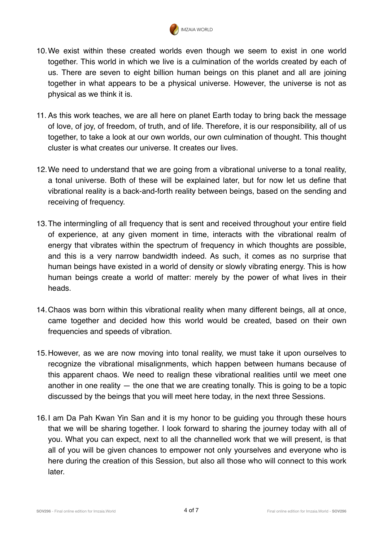

- 10.We exist within these created worlds even though we seem to exist in one world together. This world in which we live is a culmination of the worlds created by each of us. There are seven to eight billion human beings on this planet and all are joining together in what appears to be a physical universe. However, the universe is not as physical as we think it is.
- 11. As this work teaches, we are all here on planet Earth today to bring back the message of love, of joy, of freedom, of truth, and of life. Therefore, it is our responsibility, all of us together, to take a look at our own worlds, our own culmination of thought. This thought cluster is what creates our universe. It creates our lives.
- 12.We need to understand that we are going from a vibrational universe to a tonal reality, a tonal universe. Both of these will be explained later, but for now let us define that vibrational reality is a back-and-forth reality between beings, based on the sending and receiving of frequency.
- 13.The intermingling of all frequency that is sent and received throughout your entire field of experience, at any given moment in time, interacts with the vibrational realm of energy that vibrates within the spectrum of frequency in which thoughts are possible, and this is a very narrow bandwidth indeed. As such, it comes as no surprise that human beings have existed in a world of density or slowly vibrating energy. This is how human beings create a world of matter: merely by the power of what lives in their heads.
- 14.Chaos was born within this vibrational reality when many different beings, all at once, came together and decided how this world would be created, based on their own frequencies and speeds of vibration.
- 15.However, as we are now moving into tonal reality, we must take it upon ourselves to recognize the vibrational misalignments, which happen between humans because of this apparent chaos. We need to realign these vibrational realities until we meet one another in one reality  $-$  the one that we are creating tonally. This is going to be a topic discussed by the beings that you will meet here today, in the next three Sessions.
- 16.I am Da Pah Kwan Yin San and it is my honor to be guiding you through these hours that we will be sharing together. I look forward to sharing the journey today with all of you. What you can expect, next to all the channelled work that we will present, is that all of you will be given chances to empower not only yourselves and everyone who is here during the creation of this Session, but also all those who will connect to this work later.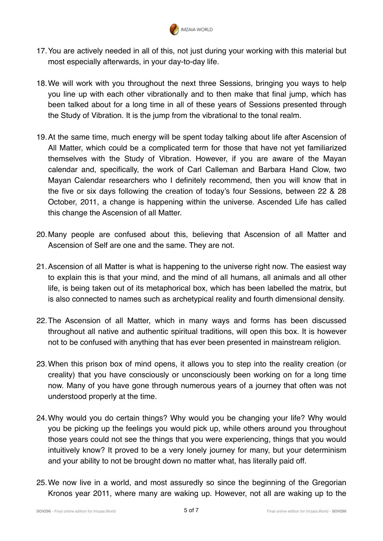

- 17.You are actively needed in all of this, not just during your working with this material but most especially afterwards, in your day-to-day life.
- 18.We will work with you throughout the next three Sessions, bringing you ways to help you line up with each other vibrationally and to then make that final jump, which has been talked about for a long time in all of these years of Sessions presented through the Study of Vibration. It is the jump from the vibrational to the tonal realm.
- 19.At the same time, much energy will be spent today talking about life after Ascension of All Matter, which could be a complicated term for those that have not yet familiarized themselves with the Study of Vibration. However, if you are aware of the Mayan calendar and, specifically, the work of Carl Calleman and Barbara Hand Clow, two Mayan Calendar researchers who I definitely recommend, then you will know that in the five or six days following the creation of today's four Sessions, between 22 & 28 October, 2011, a change is happening within the universe. Ascended Life has called this change the Ascension of all Matter.
- 20.Many people are confused about this, believing that Ascension of all Matter and Ascension of Self are one and the same. They are not.
- 21.Ascension of all Matter is what is happening to the universe right now. The easiest way to explain this is that your mind, and the mind of all humans, all animals and all other life, is being taken out of its metaphorical box, which has been labelled the matrix, but is also connected to names such as archetypical reality and fourth dimensional density.
- 22.The Ascension of all Matter, which in many ways and forms has been discussed throughout all native and authentic spiritual traditions, will open this box. It is however not to be confused with anything that has ever been presented in mainstream religion.
- 23.When this prison box of mind opens, it allows you to step into the reality creation (or creality) that you have consciously or unconsciously been working on for a long time now. Many of you have gone through numerous years of a journey that often was not understood properly at the time.
- 24.Why would you do certain things? Why would you be changing your life? Why would you be picking up the feelings you would pick up, while others around you throughout those years could not see the things that you were experiencing, things that you would intuitively know? It proved to be a very lonely journey for many, but your determinism and your ability to not be brought down no matter what, has literally paid off.
- 25.We now live in a world, and most assuredly so since the beginning of the Gregorian Kronos year 2011, where many are waking up. However, not all are waking up to the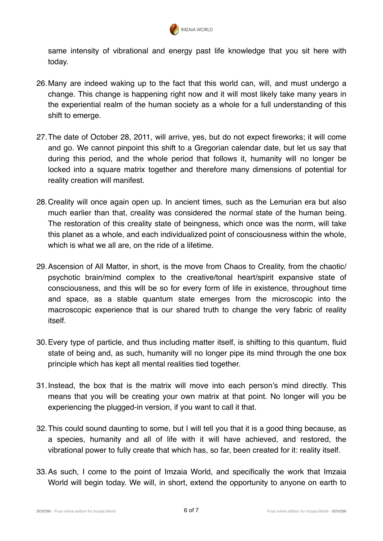

same intensity of vibrational and energy past life knowledge that you sit here with today.

- 26.Many are indeed waking up to the fact that this world can, will, and must undergo a change. This change is happening right now and it will most likely take many years in the experiential realm of the human society as a whole for a full understanding of this shift to emerge.
- 27.The date of October 28, 2011, will arrive, yes, but do not expect fireworks; it will come and go. We cannot pinpoint this shift to a Gregorian calendar date, but let us say that during this period, and the whole period that follows it, humanity will no longer be locked into a square matrix together and therefore many dimensions of potential for reality creation will manifest.
- 28.Creality will once again open up. In ancient times, such as the Lemurian era but also much earlier than that, creality was considered the normal state of the human being. The restoration of this creality state of beingness, which once was the norm, will take this planet as a whole, and each individualized point of consciousness within the whole, which is what we all are, on the ride of a lifetime.
- 29.Ascension of All Matter, in short, is the move from Chaos to Creality, from the chaotic/ psychotic brain/mind complex to the creative/tonal heart/spirit expansive state of consciousness, and this will be so for every form of life in existence, throughout time and space, as a stable quantum state emerges from the microscopic into the macroscopic experience that is our shared truth to change the very fabric of reality itself.
- 30.Every type of particle, and thus including matter itself, is shifting to this quantum, fluid state of being and, as such, humanity will no longer pipe its mind through the one box principle which has kept all mental realities tied together.
- 31.Instead, the box that is the matrix will move into each person's mind directly. This means that you will be creating your own matrix at that point. No longer will you be experiencing the plugged-in version, if you want to call it that.
- 32.This could sound daunting to some, but I will tell you that it is a good thing because, as a species, humanity and all of life with it will have achieved, and restored, the vibrational power to fully create that which has, so far, been created for it: reality itself.
- 33.As such, I come to the point of Imzaia World, and specifically the work that Imzaia World will begin today. We will, in short, extend the opportunity to anyone on earth to